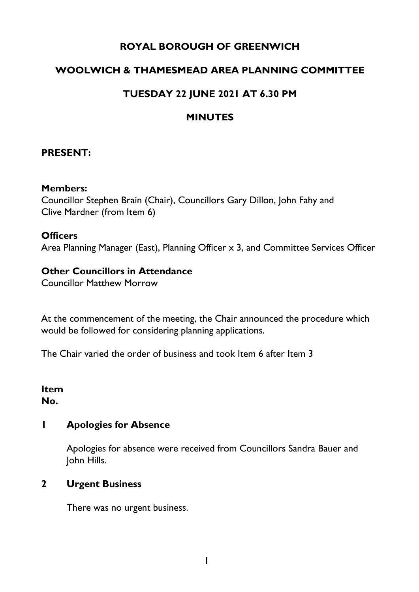# **ROYAL BOROUGH OF GREENWICH**

## **WOOLWICH & THAMESMEAD AREA PLANNING COMMITTEE**

## **TUESDAY 22 JUNE 2021 AT 6.30 PM**

### **MINUTES**

### **PRESENT:**

#### **Members:**

Councillor Stephen Brain (Chair), Councillors Gary Dillon, John Fahy and Clive Mardner (from Item 6)

#### **Officers**

Area Planning Manager (East), Planning Officer x 3, and Committee Services Officer

### **Other Councillors in Attendance**

Councillor Matthew Morrow

At the commencement of the meeting, the Chair announced the procedure which would be followed for considering planning applications.

The Chair varied the order of business and took Item 6 after Item 3

#### **Item No.**

### **1 Apologies for Absence**

Apologies for absence were received from Councillors Sandra Bauer and John Hills.

### **2 Urgent Business**

There was no urgent business.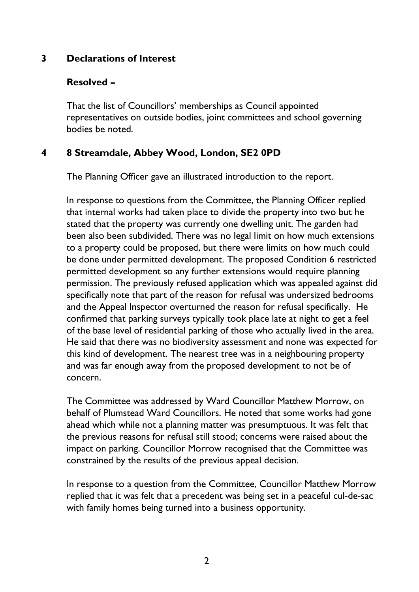## **3 Declarations of Interest**

### **Resolved –**

That the list of Councillors' memberships as Council appointed representatives on outside bodies, joint committees and school governing bodies be noted.

## **4 8 Streamdale, Abbey Wood, London, SE2 0PD**

The Planning Officer gave an illustrated introduction to the report.

In response to questions from the Committee, the Planning Officer replied that internal works had taken place to divide the property into two but he stated that the property was currently one dwelling unit. The garden had been also been subdivided. There was no legal limit on how much extensions to a property could be proposed, but there were limits on how much could be done under permitted development. The proposed Condition 6 restricted permitted development so any further extensions would require planning permission. The previously refused application which was appealed against did specifically note that part of the reason for refusal was undersized bedrooms and the Appeal Inspector overturned the reason for refusal specifically. He confirmed that parking surveys typically took place late at night to get a feel of the base level of residential parking of those who actually lived in the area. He said that there was no biodiversity assessment and none was expected for this kind of development. The nearest tree was in a neighbouring property and was far enough away from the proposed development to not be of concern.

The Committee was addressed by Ward Councillor Matthew Morrow, on behalf of Plumstead Ward Councillors. He noted that some works had gone ahead which while not a planning matter was presumptuous. It was felt that the previous reasons for refusal still stood; concerns were raised about the impact on parking. Councillor Morrow recognised that the Committee was constrained by the results of the previous appeal decision.

In response to a question from the Committee, Councillor Matthew Morrow replied that it was felt that a precedent was being set in a peaceful cul-de-sac with family homes being turned into a business opportunity.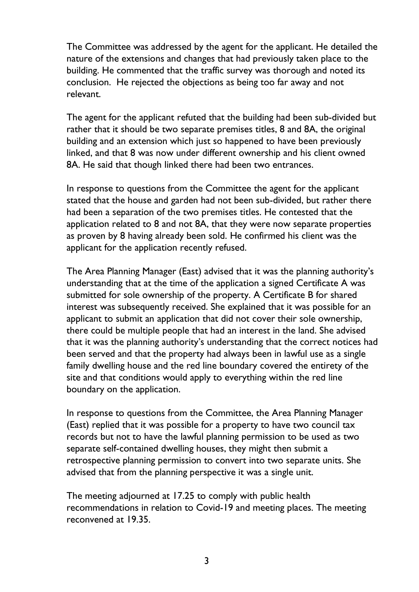The Committee was addressed by the agent for the applicant. He detailed the nature of the extensions and changes that had previously taken place to the building. He commented that the traffic survey was thorough and noted its conclusion. He rejected the objections as being too far away and not relevant.

The agent for the applicant refuted that the building had been sub-divided but rather that it should be two separate premises titles, 8 and 8A, the original building and an extension which just so happened to have been previously linked, and that 8 was now under different ownership and his client owned 8A. He said that though linked there had been two entrances.

In response to questions from the Committee the agent for the applicant stated that the house and garden had not been sub-divided, but rather there had been a separation of the two premises titles. He contested that the application related to 8 and not 8A, that they were now separate properties as proven by 8 having already been sold. He confirmed his client was the applicant for the application recently refused.

The Area Planning Manager (East) advised that it was the planning authority's understanding that at the time of the application a signed Certificate A was submitted for sole ownership of the property. A Certificate B for shared interest was subsequently received. She explained that it was possible for an applicant to submit an application that did not cover their sole ownership, there could be multiple people that had an interest in the land. She advised that it was the planning authority's understanding that the correct notices had been served and that the property had always been in lawful use as a single family dwelling house and the red line boundary covered the entirety of the site and that conditions would apply to everything within the red line boundary on the application.

In response to questions from the Committee, the Area Planning Manager (East) replied that it was possible for a property to have two council tax records but not to have the lawful planning permission to be used as two separate self-contained dwelling houses, they might then submit a retrospective planning permission to convert into two separate units. She advised that from the planning perspective it was a single unit.

The meeting adjourned at 17.25 to comply with public health recommendations in relation to Covid-19 and meeting places. The meeting reconvened at 19.35.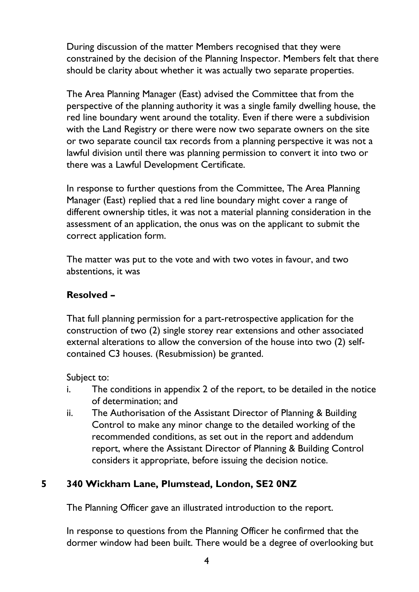During discussion of the matter Members recognised that they were constrained by the decision of the Planning Inspector. Members felt that there should be clarity about whether it was actually two separate properties.

The Area Planning Manager (East) advised the Committee that from the perspective of the planning authority it was a single family dwelling house, the red line boundary went around the totality. Even if there were a subdivision with the Land Registry or there were now two separate owners on the site or two separate council tax records from a planning perspective it was not a lawful division until there was planning permission to convert it into two or there was a Lawful Development Certificate.

In response to further questions from the Committee, The Area Planning Manager (East) replied that a red line boundary might cover a range of different ownership titles, it was not a material planning consideration in the assessment of an application, the onus was on the applicant to submit the correct application form.

The matter was put to the vote and with two votes in favour, and two abstentions, it was

# **Resolved –**

That full planning permission for a part-retrospective application for the construction of two (2) single storey rear extensions and other associated external alterations to allow the conversion of the house into two (2) selfcontained C3 houses. (Resubmission) be granted.

Subject to:

- i. The conditions in appendix 2 of the report, to be detailed in the notice of determination; and
- ii. The Authorisation of the Assistant Director of Planning & Building Control to make any minor change to the detailed working of the recommended conditions, as set out in the report and addendum report, where the Assistant Director of Planning & Building Control considers it appropriate, before issuing the decision notice.

# **5 340 Wickham Lane, Plumstead, London, SE2 0NZ**

The Planning Officer gave an illustrated introduction to the report.

In response to questions from the Planning Officer he confirmed that the dormer window had been built. There would be a degree of overlooking but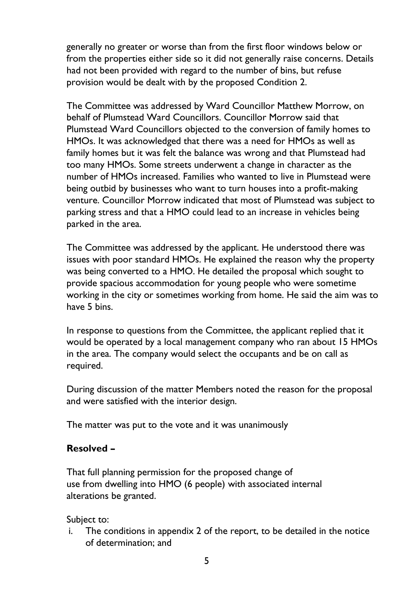generally no greater or worse than from the first floor windows below or from the properties either side so it did not generally raise concerns. Details had not been provided with regard to the number of bins, but refuse provision would be dealt with by the proposed Condition 2.

The Committee was addressed by Ward Councillor Matthew Morrow, on behalf of Plumstead Ward Councillors. Councillor Morrow said that Plumstead Ward Councillors objected to the conversion of family homes to HMOs. It was acknowledged that there was a need for HMOs as well as family homes but it was felt the balance was wrong and that Plumstead had too many HMOs. Some streets underwent a change in character as the number of HMOs increased. Families who wanted to live in Plumstead were being outbid by businesses who want to turn houses into a profit-making venture. Councillor Morrow indicated that most of Plumstead was subject to parking stress and that a HMO could lead to an increase in vehicles being parked in the area.

The Committee was addressed by the applicant. He understood there was issues with poor standard HMOs. He explained the reason why the property was being converted to a HMO. He detailed the proposal which sought to provide spacious accommodation for young people who were sometime working in the city or sometimes working from home. He said the aim was to have 5 bins.

In response to questions from the Committee, the applicant replied that it would be operated by a local management company who ran about 15 HMOs in the area. The company would select the occupants and be on call as required.

During discussion of the matter Members noted the reason for the proposal and were satisfied with the interior design.

The matter was put to the vote and it was unanimously

# **Resolved –**

That full planning permission for the proposed change of use from dwelling into HMO (6 people) with associated internal alterations be granted.

Subject to:

i. The conditions in appendix 2 of the report, to be detailed in the notice of determination; and